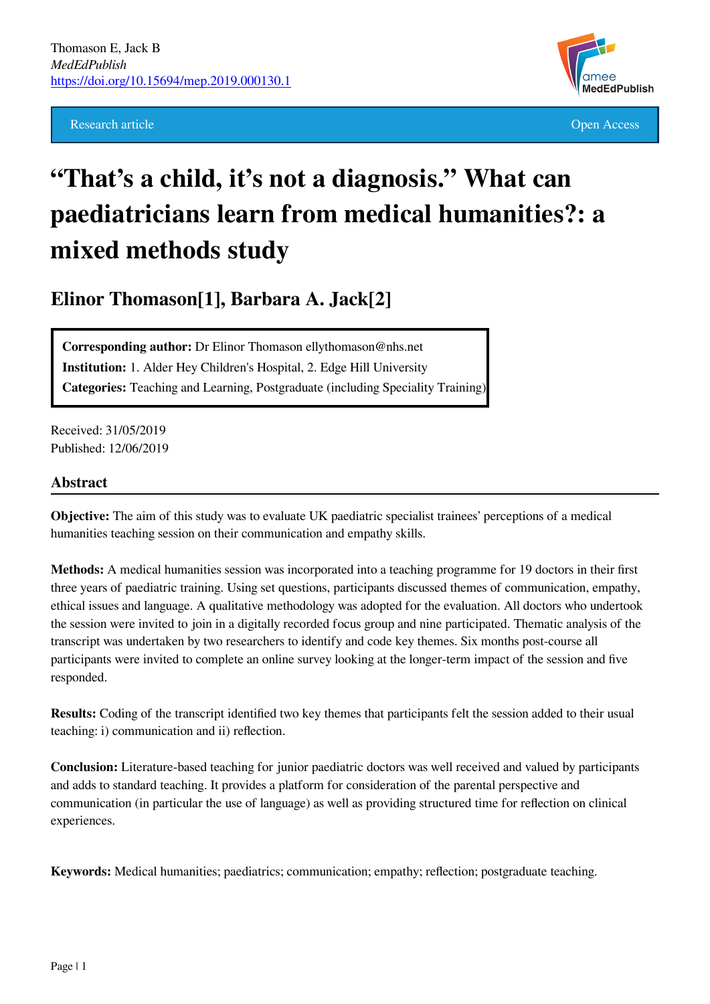**Research article Open Access Open Access Open Access Open Access Open Access Open Access Open Access Open Access** 



# **"That's a child, it's not a diagnosis." What can paediatricians learn from medical humanities?: a mixed methods study**

**Elinor Thomason[1], Barbara A. Jack[2]**

**Corresponding author:** Dr Elinor Thomason ellythomason@nhs.net **Institution:** 1. Alder Hey Children's Hospital, 2. Edge Hill University **Categories:** Teaching and Learning, Postgraduate (including Speciality Training)

Received: 31/05/2019 Published: 12/06/2019

#### **Abstract**

**Objective:** The aim of this study was to evaluate UK paediatric specialist trainees' perceptions of a medical humanities teaching session on their communication and empathy skills.

**Methods:** A medical humanities session was incorporated into a teaching programme for 19 doctors in their first three years of paediatric training. Using set questions, participants discussed themes of communication, empathy, ethical issues and language. A qualitative methodology was adopted for the evaluation. All doctors who undertook the session were invited to join in a digitally recorded focus group and nine participated. Thematic analysis of the transcript was undertaken by two researchers to identify and code key themes. Six months post-course all participants were invited to complete an online survey looking at the longer-term impact of the session and five responded.

**Results:** Coding of the transcript identified two key themes that participants felt the session added to their usual teaching: i) communication and ii) reflection.

**Conclusion:** Literature-based teaching for junior paediatric doctors was well received and valued by participants and adds to standard teaching. It provides a platform for consideration of the parental perspective and communication (in particular the use of language) as well as providing structured time for reflection on clinical experiences.

**Keywords:** Medical humanities; paediatrics; communication; empathy; reflection; postgraduate teaching.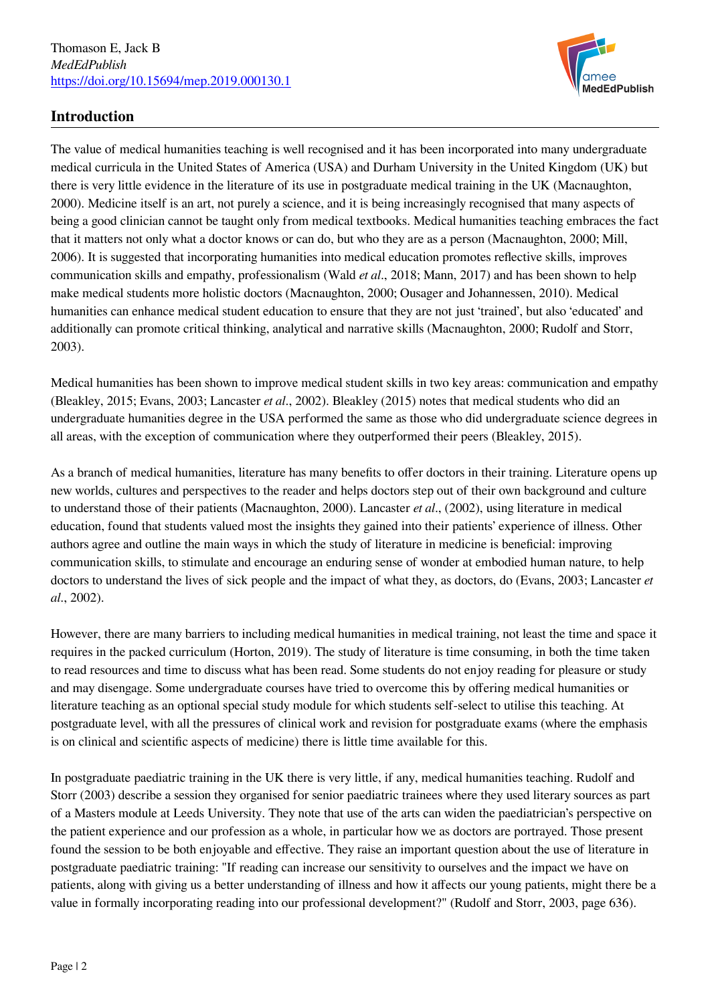

# **Introduction**

The value of medical humanities teaching is well recognised and it has been incorporated into many undergraduate medical curricula in the United States of America (USA) and Durham University in the United Kingdom (UK) but there is very little evidence in the literature of its use in postgraduate medical training in the UK (Macnaughton, 2000). Medicine itself is an art, not purely a science, and it is being increasingly recognised that many aspects of being a good clinician cannot be taught only from medical textbooks. Medical humanities teaching embraces the fact that it matters not only what a doctor knows or can do, but who they are as a person (Macnaughton, 2000; Mill, 2006). It is suggested that incorporating humanities into medical education promotes reflective skills, improves communication skills and empathy, professionalism (Wald *et al*., 2018; Mann, 2017) and has been shown to help make medical students more holistic doctors (Macnaughton, 2000; Ousager and Johannessen, 2010). Medical humanities can enhance medical student education to ensure that they are not just 'trained', but also 'educated' and additionally can promote critical thinking, analytical and narrative skills (Macnaughton, 2000; Rudolf and Storr, 2003).

Medical humanities has been shown to improve medical student skills in two key areas: communication and empathy (Bleakley, 2015; Evans, 2003; Lancaster *et al*., 2002). Bleakley (2015) notes that medical students who did an undergraduate humanities degree in the USA performed the same as those who did undergraduate science degrees in all areas, with the exception of communication where they outperformed their peers (Bleakley, 2015).

As a branch of medical humanities, literature has many benefits to offer doctors in their training. Literature opens up new worlds, cultures and perspectives to the reader and helps doctors step out of their own background and culture to understand those of their patients (Macnaughton, 2000). Lancaster *et al*., (2002), using literature in medical education, found that students valued most the insights they gained into their patients' experience of illness. Other authors agree and outline the main ways in which the study of literature in medicine is beneficial: improving communication skills, to stimulate and encourage an enduring sense of wonder at embodied human nature, to help doctors to understand the lives of sick people and the impact of what they, as doctors, do (Evans, 2003; Lancaster *et al*., 2002).

However, there are many barriers to including medical humanities in medical training, not least the time and space it requires in the packed curriculum (Horton, 2019). The study of literature is time consuming, in both the time taken to read resources and time to discuss what has been read. Some students do not enjoy reading for pleasure or study and may disengage. Some undergraduate courses have tried to overcome this by offering medical humanities or literature teaching as an optional special study module for which students self-select to utilise this teaching. At postgraduate level, with all the pressures of clinical work and revision for postgraduate exams (where the emphasis is on clinical and scientific aspects of medicine) there is little time available for this.

In postgraduate paediatric training in the UK there is very little, if any, medical humanities teaching. Rudolf and Storr (2003) describe a session they organised for senior paediatric trainees where they used literary sources as part of a Masters module at Leeds University. They note that use of the arts can widen the paediatrician's perspective on the patient experience and our profession as a whole, in particular how we as doctors are portrayed. Those present found the session to be both enjoyable and effective. They raise an important question about the use of literature in postgraduate paediatric training: "If reading can increase our sensitivity to ourselves and the impact we have on patients, along with giving us a better understanding of illness and how it affects our young patients, might there be a value in formally incorporating reading into our professional development?" (Rudolf and Storr, 2003, page 636).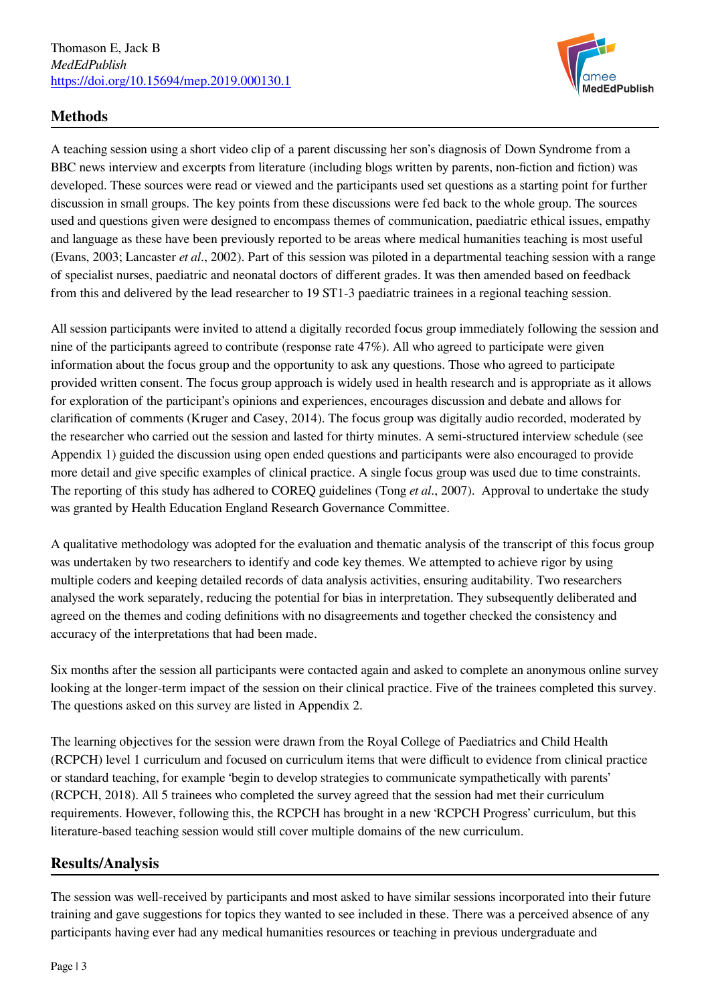

# **Methods**

A teaching session using a short video clip of a parent discussing her son's diagnosis of Down Syndrome from a BBC news interview and excerpts from literature (including blogs written by parents, non-fiction and fiction) was developed. These sources were read or viewed and the participants used set questions as a starting point for further discussion in small groups. The key points from these discussions were fed back to the whole group. The sources used and questions given were designed to encompass themes of communication, paediatric ethical issues, empathy and language as these have been previously reported to be areas where medical humanities teaching is most useful (Evans, 2003; Lancaster *et al*., 2002). Part of this session was piloted in a departmental teaching session with a range of specialist nurses, paediatric and neonatal doctors of different grades. It was then amended based on feedback from this and delivered by the lead researcher to 19 ST1-3 paediatric trainees in a regional teaching session.

All session participants were invited to attend a digitally recorded focus group immediately following the session and nine of the participants agreed to contribute (response rate 47%). All who agreed to participate were given information about the focus group and the opportunity to ask any questions. Those who agreed to participate provided written consent. The focus group approach is widely used in health research and is appropriate as it allows for exploration of the participant's opinions and experiences, encourages discussion and debate and allows for clarification of comments (Kruger and Casey, 2014). The focus group was digitally audio recorded, moderated by the researcher who carried out the session and lasted for thirty minutes. A semi-structured interview schedule (see Appendix 1) guided the discussion using open ended questions and participants were also encouraged to provide more detail and give specific examples of clinical practice. A single focus group was used due to time constraints. The reporting of this study has adhered to COREQ guidelines (Tong *et al*., 2007). Approval to undertake the study was granted by Health Education England Research Governance Committee.

A qualitative methodology was adopted for the evaluation and thematic analysis of the transcript of this focus group was undertaken by two researchers to identify and code key themes. We attempted to achieve rigor by using multiple coders and keeping detailed records of data analysis activities, ensuring auditability. Two researchers analysed the work separately, reducing the potential for bias in interpretation. They subsequently deliberated and agreed on the themes and coding definitions with no disagreements and together checked the consistency and accuracy of the interpretations that had been made.

Six months after the session all participants were contacted again and asked to complete an anonymous online survey looking at the longer-term impact of the session on their clinical practice. Five of the trainees completed this survey. The questions asked on this survey are listed in Appendix 2.

The learning objectives for the session were drawn from the Royal College of Paediatrics and Child Health (RCPCH) level 1 curriculum and focused on curriculum items that were difficult to evidence from clinical practice or standard teaching, for example 'begin to develop strategies to communicate sympathetically with parents' (RCPCH, 2018). All 5 trainees who completed the survey agreed that the session had met their curriculum requirements. However, following this, the RCPCH has brought in a new 'RCPCH Progress' curriculum, but this literature-based teaching session would still cover multiple domains of the new curriculum.

#### **Results/Analysis**

The session was well-received by participants and most asked to have similar sessions incorporated into their future training and gave suggestions for topics they wanted to see included in these. There was a perceived absence of any participants having ever had any medical humanities resources or teaching in previous undergraduate and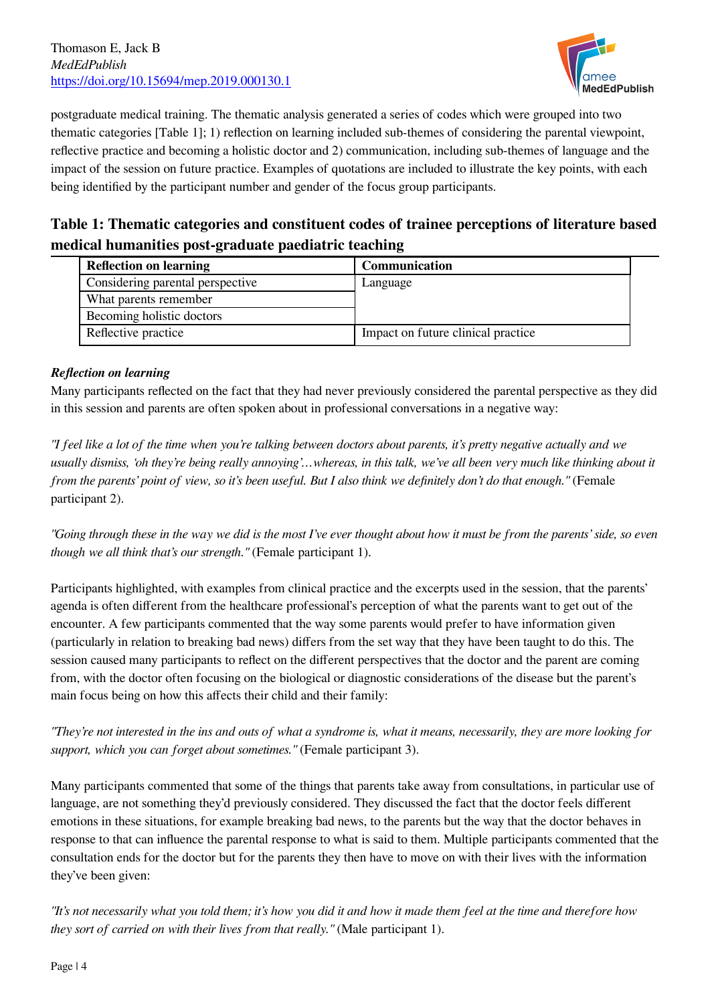

postgraduate medical training. The thematic analysis generated a series of codes which were grouped into two thematic categories [Table 1]; 1) reflection on learning included sub-themes of considering the parental viewpoint, reflective practice and becoming a holistic doctor and 2) communication, including sub-themes of language and the impact of the session on future practice. Examples of quotations are included to illustrate the key points, with each being identified by the participant number and gender of the focus group participants.

# **Table 1: Thematic categories and constituent codes of trainee perceptions of literature based medical humanities post-graduate paediatric teaching**

| <b>Reflection on learning</b>    | <b>Communication</b>               |
|----------------------------------|------------------------------------|
| Considering parental perspective | Language                           |
| What parents remember            |                                    |
| Becoming holistic doctors        |                                    |
| Reflective practice              | Impact on future clinical practice |

#### *Reflection on learning*

Many participants reflected on the fact that they had never previously considered the parental perspective as they did in this session and parents are often spoken about in professional conversations in a negative way:

*"I feel like a lot of the time when you're talking between doctors about parents, it's pretty negative actually and we usually dismiss, 'oh they're being really annoying'…whereas, in this talk, we've all been very much like thinking about it from the parents' point of view, so it's been useful. But I also think we definitely don't do that enough."* (Female participant 2).

*"Going through these in the way we did is the most I've ever thought about how it must be from the parents' side, so even though we all think that's our strength."* (Female participant 1).

Participants highlighted, with examples from clinical practice and the excerpts used in the session, that the parents' agenda is often different from the healthcare professional's perception of what the parents want to get out of the encounter. A few participants commented that the way some parents would prefer to have information given (particularly in relation to breaking bad news) differs from the set way that they have been taught to do this. The session caused many participants to reflect on the different perspectives that the doctor and the parent are coming from, with the doctor often focusing on the biological or diagnostic considerations of the disease but the parent's main focus being on how this affects their child and their family:

*"They're not interested in the ins and outs of what a syndrome is, what it means, necessarily, they are more looking for support, which you can forget about sometimes."* (Female participant 3).

Many participants commented that some of the things that parents take away from consultations, in particular use of language, are not something they'd previously considered. They discussed the fact that the doctor feels different emotions in these situations, for example breaking bad news, to the parents but the way that the doctor behaves in response to that can influence the parental response to what is said to them. Multiple participants commented that the consultation ends for the doctor but for the parents they then have to move on with their lives with the information they've been given:

*"It's not necessarily what you told them; it's how you did it and how it made them feel at the time and therefore how they sort of carried on with their lives from that really."* (Male participant 1).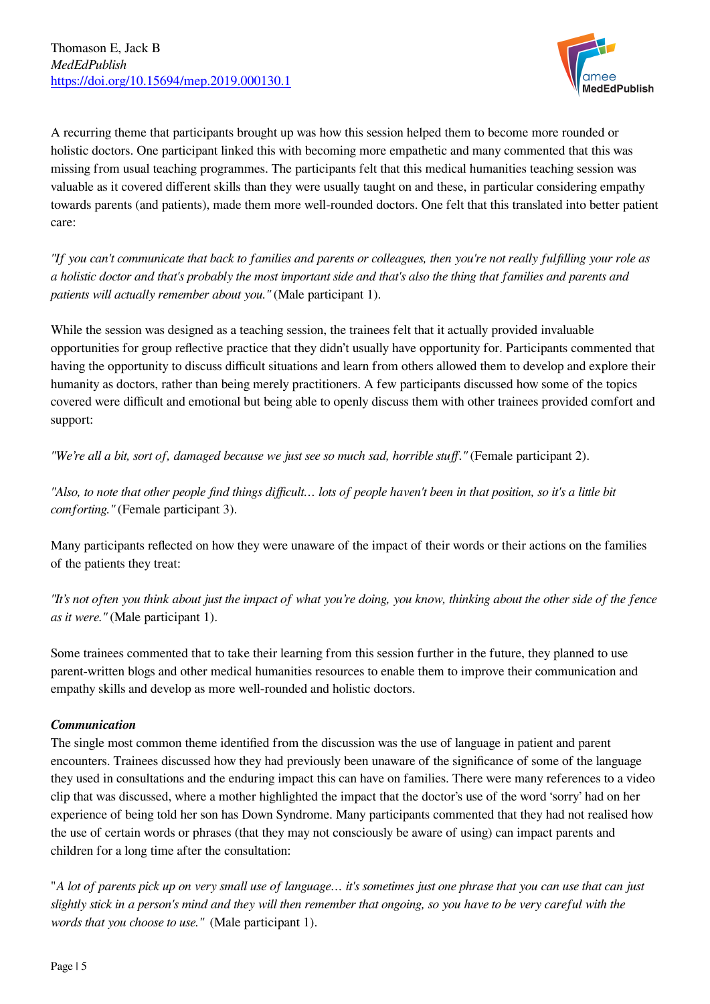

A recurring theme that participants brought up was how this session helped them to become more rounded or holistic doctors. One participant linked this with becoming more empathetic and many commented that this was missing from usual teaching programmes. The participants felt that this medical humanities teaching session was valuable as it covered different skills than they were usually taught on and these, in particular considering empathy towards parents (and patients), made them more well-rounded doctors. One felt that this translated into better patient care:

*"If you can't communicate that back to families and parents or colleagues, then you're not really fulfilling your role as a holistic doctor and that's probably the most important side and that's also the thing that families and parents and patients will actually remember about you."* (Male participant 1).

While the session was designed as a teaching session, the trainees felt that it actually provided invaluable opportunities for group reflective practice that they didn't usually have opportunity for. Participants commented that having the opportunity to discuss difficult situations and learn from others allowed them to develop and explore their humanity as doctors, rather than being merely practitioners. A few participants discussed how some of the topics covered were difficult and emotional but being able to openly discuss them with other trainees provided comfort and support:

*"We're all a bit, sort of, damaged because we just see so much sad, horrible stuff."* (Female participant 2).

*"Also, to note that other people find things difficult… lots of people haven't been in that position, so it's a little bit comforting."* (Female participant 3).

Many participants reflected on how they were unaware of the impact of their words or their actions on the families of the patients they treat:

*"It's not often you think about just the impact of what you're doing, you know, thinking about the other side of the fence as it were."* (Male participant 1).

Some trainees commented that to take their learning from this session further in the future, they planned to use parent-written blogs and other medical humanities resources to enable them to improve their communication and empathy skills and develop as more well-rounded and holistic doctors.

#### *Communication*

The single most common theme identified from the discussion was the use of language in patient and parent encounters. Trainees discussed how they had previously been unaware of the significance of some of the language they used in consultations and the enduring impact this can have on families. There were many references to a video clip that was discussed, where a mother highlighted the impact that the doctor's use of the word 'sorry' had on her experience of being told her son has Down Syndrome. Many participants commented that they had not realised how the use of certain words or phrases (that they may not consciously be aware of using) can impact parents and children for a long time after the consultation:

"*A lot of parents pick up on very small use of language… it's sometimes just one phrase that you can use that can just slightly stick in a person's mind and they will then remember that ongoing, so you have to be very careful with the words that you choose to use."* (Male participant 1).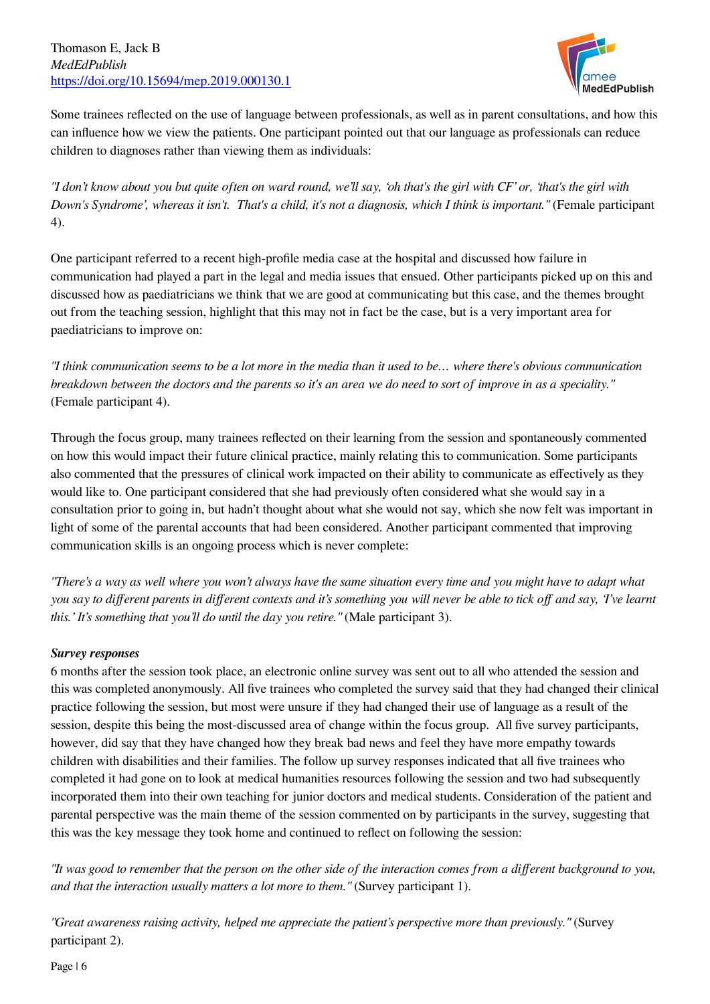

Some trainees reflected on the use of language between professionals, as well as in parent consultations, and how this can influence how we view the patients. One participant pointed out that our language as professionals can reduce children to diagnoses rather than viewing them as individuals:

*"I don't know about you but quite often on ward round, we'll say, 'oh that's the girl with CF' or, 'that's the girl with Down's Syndrome', whereas it isn't. That's a child, it's not a diagnosis, which I think is important."* (Female participant 4).

One participant referred to a recent high-profile media case at the hospital and discussed how failure in communication had played a part in the legal and media issues that ensued. Other participants picked up on this and discussed how as paediatricians we think that we are good at communicating but this case, and the themes brought out from the teaching session, highlight that this may not in fact be the case, but is a very important area for paediatricians to improve on:

*"I think communication seems to be a lot more in the media than it used to be… where there's obvious communication breakdown between the doctors and the parents so it's an area we do need to sort of improve in as a speciality."* (Female participant 4).

Through the focus group, many trainees reflected on their learning from the session and spontaneously commented on how this would impact their future clinical practice, mainly relating this to communication. Some participants also commented that the pressures of clinical work impacted on their ability to communicate as effectively as they would like to. One participant considered that she had previously often considered what she would say in a consultation prior to going in, but hadn't thought about what she would not say, which she now felt was important in light of some of the parental accounts that had been considered. Another participant commented that improving communication skills is an ongoing process which is never complete:

*"There's a way as well where you won't always have the same situation every time and you might have to adapt what you say to different parents in different contexts and it's something you will never be able to tick off and say, 'I've learnt this.' It's something that you'll do until the day you retire."* (Male participant 3).

#### *Survey responses*

6 months after the session took place, an electronic online survey was sent out to all who attended the session and this was completed anonymously. All five trainees who completed the survey said that they had changed their clinical practice following the session, but most were unsure if they had changed their use of language as a result of the session, despite this being the most-discussed area of change within the focus group. All five survey participants, however, did say that they have changed how they break bad news and feel they have more empathy towards children with disabilities and their families. The follow up survey responses indicated that all five trainees who completed it had gone on to look at medical humanities resources following the session and two had subsequently incorporated them into their own teaching for junior doctors and medical students. Consideration of the patient and parental perspective was the main theme of the session commented on by participants in the survey, suggesting that this was the key message they took home and continued to reflect on following the session:

*"It was good to remember that the person on the other side of the interaction comes from a different background to you, and that the interaction usually matters a lot more to them."* (Survey participant 1).

*"Great awareness raising activity, helped me appreciate the patient's perspective more than previously."* (Survey participant 2).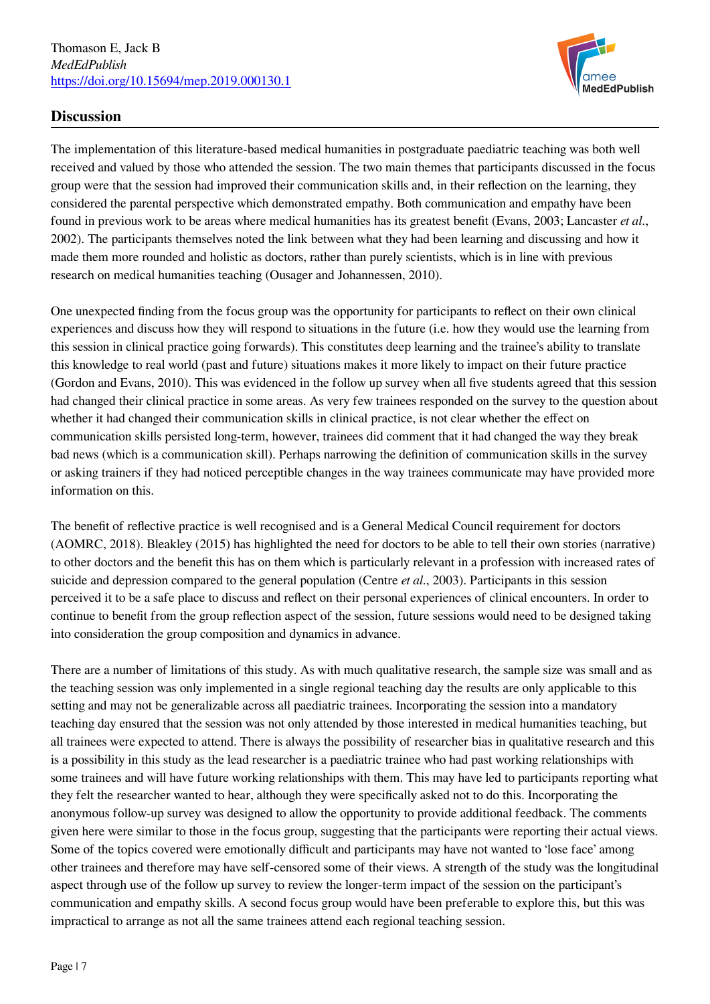

# **Discussion**

The implementation of this literature-based medical humanities in postgraduate paediatric teaching was both well received and valued by those who attended the session. The two main themes that participants discussed in the focus group were that the session had improved their communication skills and, in their reflection on the learning, they considered the parental perspective which demonstrated empathy. Both communication and empathy have been found in previous work to be areas where medical humanities has its greatest benefit (Evans, 2003; Lancaster *et al*., 2002). The participants themselves noted the link between what they had been learning and discussing and how it made them more rounded and holistic as doctors, rather than purely scientists, which is in line with previous research on medical humanities teaching (Ousager and Johannessen, 2010).

One unexpected finding from the focus group was the opportunity for participants to reflect on their own clinical experiences and discuss how they will respond to situations in the future (i.e. how they would use the learning from this session in clinical practice going forwards). This constitutes deep learning and the trainee's ability to translate this knowledge to real world (past and future) situations makes it more likely to impact on their future practice (Gordon and Evans, 2010). This was evidenced in the follow up survey when all five students agreed that this session had changed their clinical practice in some areas. As very few trainees responded on the survey to the question about whether it had changed their communication skills in clinical practice, is not clear whether the effect on communication skills persisted long-term, however, trainees did comment that it had changed the way they break bad news (which is a communication skill). Perhaps narrowing the definition of communication skills in the survey or asking trainers if they had noticed perceptible changes in the way trainees communicate may have provided more information on this.

The benefit of reflective practice is well recognised and is a General Medical Council requirement for doctors (AOMRC, 2018). Bleakley (2015) has highlighted the need for doctors to be able to tell their own stories (narrative) to other doctors and the benefit this has on them which is particularly relevant in a profession with increased rates of suicide and depression compared to the general population (Centre *et al*., 2003). Participants in this session perceived it to be a safe place to discuss and reflect on their personal experiences of clinical encounters. In order to continue to benefit from the group reflection aspect of the session, future sessions would need to be designed taking into consideration the group composition and dynamics in advance.

There are a number of limitations of this study. As with much qualitative research, the sample size was small and as the teaching session was only implemented in a single regional teaching day the results are only applicable to this setting and may not be generalizable across all paediatric trainees. Incorporating the session into a mandatory teaching day ensured that the session was not only attended by those interested in medical humanities teaching, but all trainees were expected to attend. There is always the possibility of researcher bias in qualitative research and this is a possibility in this study as the lead researcher is a paediatric trainee who had past working relationships with some trainees and will have future working relationships with them. This may have led to participants reporting what they felt the researcher wanted to hear, although they were specifically asked not to do this. Incorporating the anonymous follow-up survey was designed to allow the opportunity to provide additional feedback. The comments given here were similar to those in the focus group, suggesting that the participants were reporting their actual views. Some of the topics covered were emotionally difficult and participants may have not wanted to 'lose face' among other trainees and therefore may have self-censored some of their views. A strength of the study was the longitudinal aspect through use of the follow up survey to review the longer-term impact of the session on the participant's communication and empathy skills. A second focus group would have been preferable to explore this, but this was impractical to arrange as not all the same trainees attend each regional teaching session.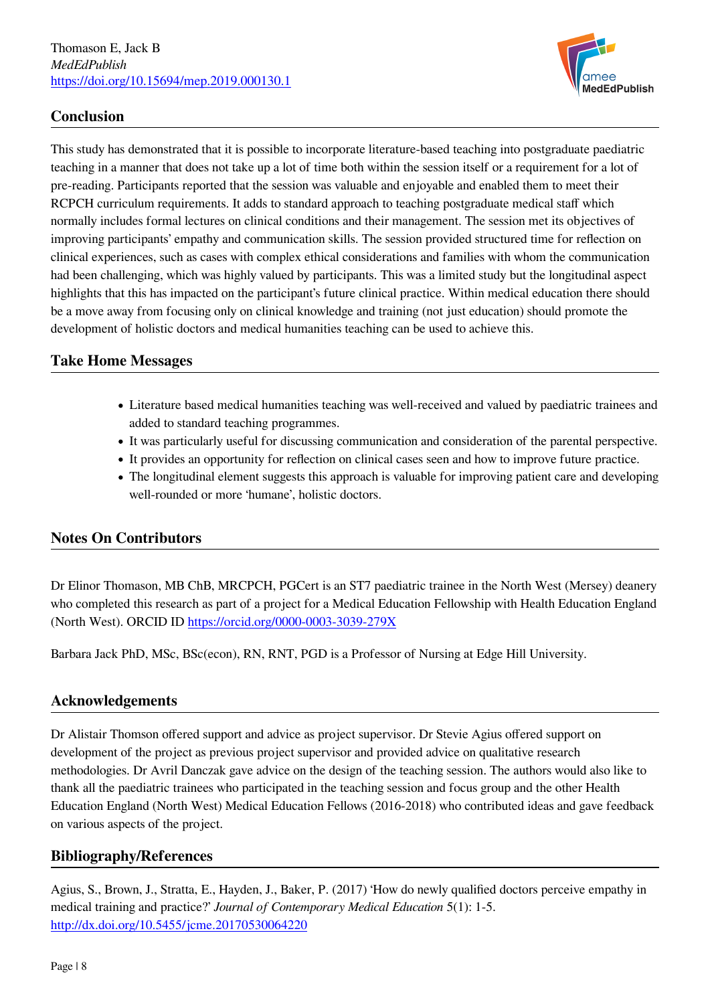

# **Conclusion**

This study has demonstrated that it is possible to incorporate literature-based teaching into postgraduate paediatric teaching in a manner that does not take up a lot of time both within the session itself or a requirement for a lot of pre-reading. Participants reported that the session was valuable and enjoyable and enabled them to meet their RCPCH curriculum requirements. It adds to standard approach to teaching postgraduate medical staff which normally includes formal lectures on clinical conditions and their management. The session met its objectives of improving participants' empathy and communication skills. The session provided structured time for reflection on clinical experiences, such as cases with complex ethical considerations and families with whom the communication had been challenging, which was highly valued by participants. This was a limited study but the longitudinal aspect highlights that this has impacted on the participant's future clinical practice. Within medical education there should be a move away from focusing only on clinical knowledge and training (not just education) should promote the development of holistic doctors and medical humanities teaching can be used to achieve this.

#### **Take Home Messages**

- Literature based medical humanities teaching was well-received and valued by paediatric trainees and added to standard teaching programmes.
- It was particularly useful for discussing communication and consideration of the parental perspective.
- It provides an opportunity for reflection on clinical cases seen and how to improve future practice.
- The longitudinal element suggests this approach is valuable for improving patient care and developing well-rounded or more 'humane', holistic doctors.

#### **Notes On Contributors**

Dr Elinor Thomason, MB ChB, MRCPCH, PGCert is an ST7 paediatric trainee in the North West (Mersey) deanery who completed this research as part of a project for a Medical Education Fellowship with Health Education England (North West). ORCID ID<https://orcid.org/0000-0003-3039-279X>

Barbara Jack PhD, MSc, BSc(econ), RN, RNT, PGD is a Professor of Nursing at Edge Hill University.

#### **Acknowledgements**

Dr Alistair Thomson offered support and advice as project supervisor. Dr Stevie Agius offered support on development of the project as previous project supervisor and provided advice on qualitative research methodologies. Dr Avril Danczak gave advice on the design of the teaching session. The authors would also like to thank all the paediatric trainees who participated in the teaching session and focus group and the other Health Education England (North West) Medical Education Fellows (2016-2018) who contributed ideas and gave feedback on various aspects of the project.

#### **Bibliography/References**

Agius, S., Brown, J., Stratta, E., Hayden, J., Baker, P. (2017) 'How do newly qualified doctors perceive empathy in medical training and practice?' *Journal of Contemporary Medical Education* 5(1): 1-5. <http://dx.doi.org/10.5455/jcme.20170530064220>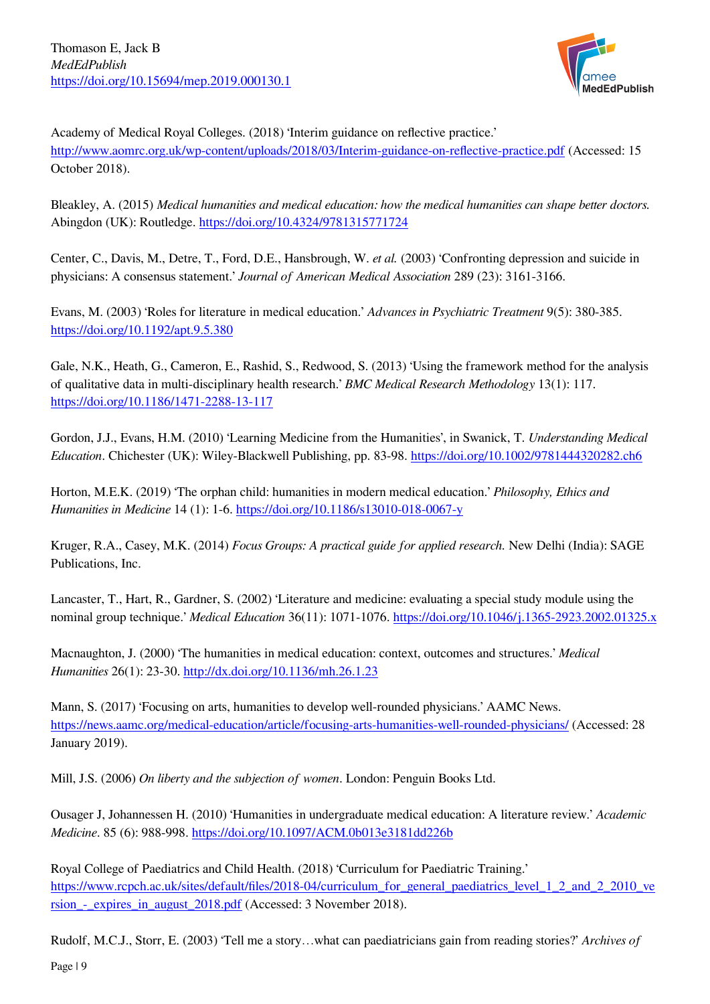

Academy of Medical Royal Colleges. (2018) 'Interim guidance on reflective practice.' <http://www.aomrc.org.uk/wp-content/uploads/2018/03/Interim-guidance-on-reflective-practice.pdf>(Accessed: 15 October 2018).

Bleakley, A. (2015) *Medical humanities and medical education: how the medical humanities can shape better doctors.* Abingdon (UK): Routledge.<https://doi.org/10.4324/9781315771724>

Center, C., Davis, M., Detre, T., Ford, D.E., Hansbrough, W. *et al.* (2003) 'Confronting depression and suicide in physicians: A consensus statement.' *Journal of American Medical Association* 289 (23): 3161-3166.

Evans, M. (2003) 'Roles for literature in medical education.' *Advances in Psychiatric Treatment* 9(5): 380-385. <https://doi.org/10.1192/apt.9.5.380>

Gale, N.K., Heath, G., Cameron, E., Rashid, S., Redwood, S. (2013) 'Using the framework method for the analysis of qualitative data in multi-disciplinary health research.' *BMC Medical Research Methodology* 13(1): 117. <https://doi.org/10.1186/1471-2288-13-117>

Gordon, J.J., Evans, H.M. (2010) 'Learning Medicine from the Humanities', in Swanick, T. *Understanding Medical Education*. Chichester (UK): Wiley-Blackwell Publishing, pp. 83-98. <https://doi.org/10.1002/9781444320282.ch6>

Horton, M.E.K. (2019) 'The orphan child: humanities in modern medical education.' *Philosophy, Ethics and Humanities in Medicine* 14 (1): 1-6.<https://doi.org/10.1186/s13010-018-0067-y>

Kruger, R.A., Casey, M.K. (2014) *Focus Groups: A practical guide for applied research.* New Delhi (India): SAGE Publications, Inc.

Lancaster, T., Hart, R., Gardner, S. (2002) 'Literature and medicine: evaluating a special study module using the nominal group technique.' *Medical Education* 36(11): 1071-1076. <https://doi.org/10.1046/j.1365-2923.2002.01325.x>

Macnaughton, J. (2000) 'The humanities in medical education: context, outcomes and structures.' *Medical Humanities* 26(1): 23-30.<http://dx.doi.org/10.1136/mh.26.1.23>

Mann, S. (2017) 'Focusing on arts, humanities to develop well-rounded physicians.' AAMC News. <https://news.aamc.org/medical-education/article/focusing-arts-humanities-well-rounded-physicians/> (Accessed: 28 January 2019).

Mill, J.S. (2006) *On liberty and the subjection of women*. London: Penguin Books Ltd.

Ousager J, Johannessen H. (2010) 'Humanities in undergraduate medical education: A literature review.' *Academic Medicine*. 85 (6): 988-998. <https://doi.org/10.1097/ACM.0b013e3181dd226b>

Royal College of Paediatrics and Child Health. (2018) 'Curriculum for Paediatric Training.' [https://www.rcpch.ac.uk/sites/default/files/2018-04/curriculum\\_for\\_general\\_paediatrics\\_level\\_1\\_2\\_and\\_2\\_2010\\_ve](https://www.rcpch.ac.uk/sites/default/files/2018-04/curriculum_for_general_paediatrics_level_1_2_and_2_2010_version_-_expires_in_august_2018.pdf) [rsion\\_-\\_expires\\_in\\_august\\_2018.pdf](https://www.rcpch.ac.uk/sites/default/files/2018-04/curriculum_for_general_paediatrics_level_1_2_and_2_2010_version_-_expires_in_august_2018.pdf) (Accessed: 3 November 2018).

Rudolf, M.C.J., Storr, E. (2003) 'Tell me a story…what can paediatricians gain from reading stories?' *Archives of*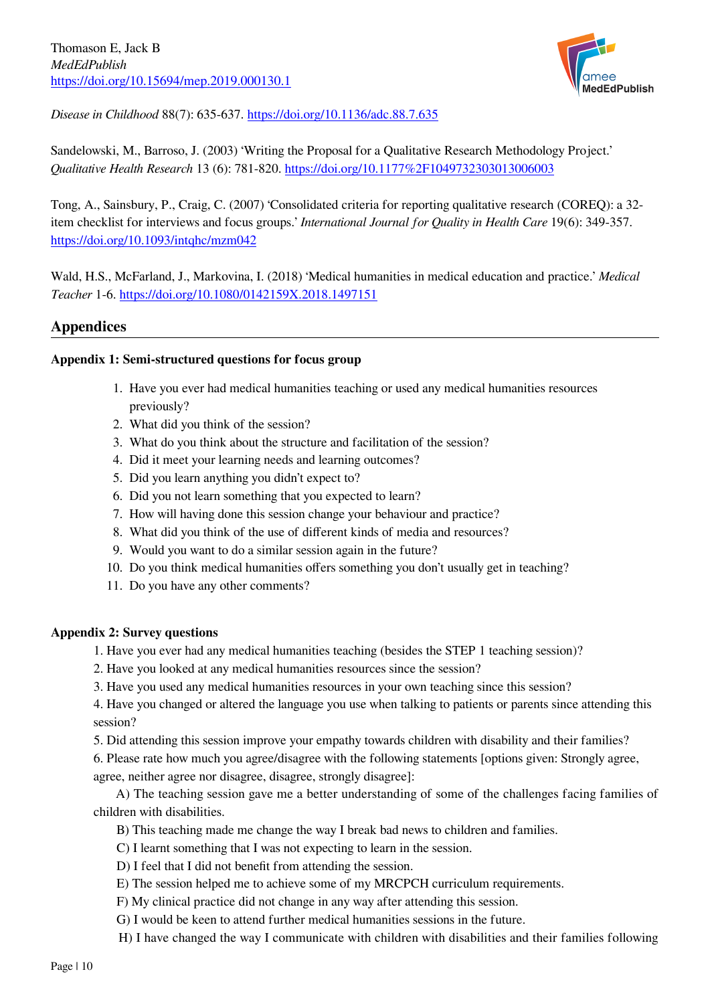

*Disease in Childhood* 88(7): 635-637.<https://doi.org/10.1136/adc.88.7.635>

Sandelowski, M., Barroso, J. (2003) 'Writing the Proposal for a Qualitative Research Methodology Project.' *Qualitative Health Research* 13 (6): 781-820. <https://doi.org/10.1177%2F1049732303013006003>

Tong, A., Sainsbury, P., Craig, C. (2007) 'Consolidated criteria for reporting qualitative research (COREQ): a 32 item checklist for interviews and focus groups.' *International Journal for Quality in Health Care* 19(6): 349-357. <https://doi.org/10.1093/intqhc/mzm042>

Wald, H.S., McFarland, J., Markovina, I. (2018) 'Medical humanities in medical education and practice.' *Medical Teacher* 1-6.<https://doi.org/10.1080/0142159X.2018.1497151>

# **Appendices**

#### **Appendix 1: Semi-structured questions for focus group**

- 1. Have you ever had medical humanities teaching or used any medical humanities resources previously?
- 2. What did you think of the session?
- 3. What do you think about the structure and facilitation of the session?
- 4. Did it meet your learning needs and learning outcomes?
- 5. Did you learn anything you didn't expect to?
- 6. Did you not learn something that you expected to learn?
- 7. How will having done this session change your behaviour and practice?
- 8. What did you think of the use of different kinds of media and resources?
- 9. Would you want to do a similar session again in the future?
- 10. Do you think medical humanities offers something you don't usually get in teaching?
- 11. Do you have any other comments?

#### **Appendix 2: Survey questions**

- 1. Have you ever had any medical humanities teaching (besides the STEP 1 teaching session)?
- 2. Have you looked at any medical humanities resources since the session?
- 3. Have you used any medical humanities resources in your own teaching since this session?

4. Have you changed or altered the language you use when talking to patients or parents since attending this session?

5. Did attending this session improve your empathy towards children with disability and their families?

6. Please rate how much you agree/disagree with the following statements [options given: Strongly agree, agree, neither agree nor disagree, disagree, strongly disagree]:

 A) The teaching session gave me a better understanding of some of the challenges facing families of children with disabilities.

- B) This teaching made me change the way I break bad news to children and families.
- C) I learnt something that I was not expecting to learn in the session.
- D) I feel that I did not benefit from attending the session.
- E) The session helped me to achieve some of my MRCPCH curriculum requirements.
- F) My clinical practice did not change in any way after attending this session.
- G) I would be keen to attend further medical humanities sessions in the future.
- H) I have changed the way I communicate with children with disabilities and their families following